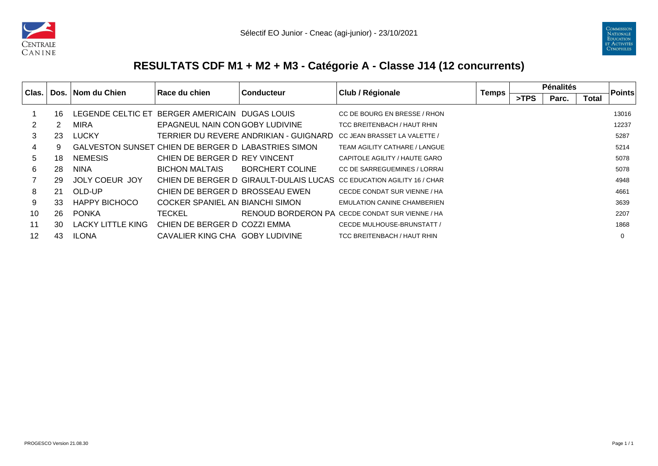



## **RESULTATS CDF M1 + M2 + M3 - Catégorie A - Classe J14 (12 concurrents)**

| Clas. |    | Dos.   Nom du Chien      | l Race du chien                                     | <b>Conducteur</b>                      | Club / Régionale                                                      | <b>Temps</b> | <b>Pénalités</b> |       | <b>Points</b> |          |
|-------|----|--------------------------|-----------------------------------------------------|----------------------------------------|-----------------------------------------------------------------------|--------------|------------------|-------|---------------|----------|
|       |    |                          |                                                     |                                        |                                                                       |              | >TPS             | Parc. | <b>Total</b>  |          |
|       | 16 | LEGENDE CELTIC ET        | BERGER AMERICAIN DUGAS LOUIS                        |                                        | CC DE BOURG EN BRESSE / RHON                                          |              |                  |       |               | 13016    |
|       | 2  | <b>MIRA</b>              | EPAGNEUL NAIN CON GOBY LUDIVINE                     |                                        | TCC BREITENBACH / HAUT RHIN                                           |              |                  |       |               | 12237    |
| 3     | 23 | <b>LUCKY</b>             |                                                     | TERRIER DU REVERE ANDRIKIAN - GUIGNARD | CC JEAN BRASSET LA VALETTE /                                          |              |                  |       |               | 5287     |
| 4     | 9  |                          | GALVESTON SUNSET CHIEN DE BERGER D'LABASTRIES SIMON |                                        | TEAM AGILITY CATHARE / LANGUE                                         |              |                  |       |               | 5214     |
| 5     | 18 | <b>NEMESIS</b>           | CHIEN DE BERGER D REY VINCENT                       |                                        | CAPITOLE AGILITY / HAUTE GARO                                         |              |                  |       |               | 5078     |
| 6     | 28 | <b>NINA</b>              | <b>BICHON MALTAIS</b>                               | <b>BORCHERT COLINE</b>                 | CC DE SARREGUEMINES / LORRAI                                          |              |                  |       |               | 5078     |
|       | 29 | JOLY COEUR JOY           |                                                     |                                        | CHIEN DE BERGER D GIRAULT-DULAIS LUCAS CC EDUCATION AGILITY 16 / CHAR |              |                  |       |               | 4948     |
| 8     | 21 | OLD-UP                   | CHIEN DE BERGER D BROSSEAU EWEN                     |                                        | CECDE CONDAT SUR VIENNE / HA                                          |              |                  |       |               | 4661     |
| 9     | 33 | <b>HAPPY BICHOCO</b>     | COCKER SPANIEL AN BIANCHI SIMON                     |                                        | <b>EMULATION CANINE CHAMBERIEN</b>                                    |              |                  |       |               | 3639     |
| 10    | 26 | <b>PONKA</b>             | <b>TECKEL</b>                                       |                                        | <b>RENOUD BORDERON PA CECDE CONDAT SUR VIENNE / HA</b>                |              |                  |       |               | 2207     |
| 11    | 30 | <b>LACKY LITTLE KING</b> | CHIEN DE BERGER D COZZI EMMA                        |                                        | CECDE MULHOUSE-BRUNSTATT /                                            |              |                  |       |               | 1868     |
| 12    | 43 | <b>ILONA</b>             | CAVALIER KING CHA GOBY LUDIVINE                     |                                        | TCC BREITENBACH / HAUT RHIN                                           |              |                  |       |               | $\Omega$ |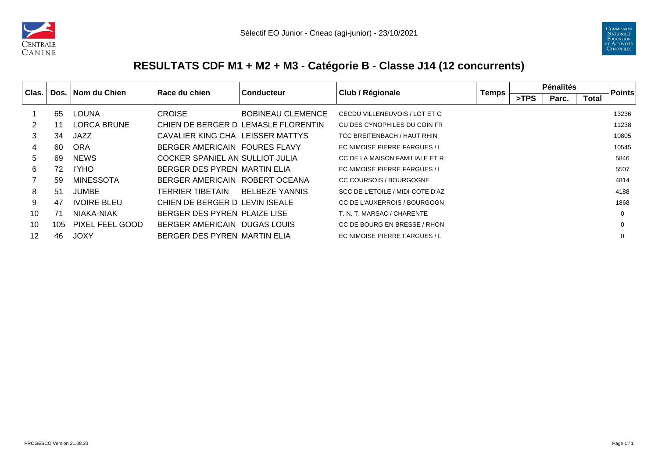



## **RESULTATS CDF M1 + M2 + M3 - Catégorie B - Classe J14 (12 concurrents)**

| Clas. |     | Dos. Nom du Chien  | Race du chien                    | <b>Conducteur</b>                   | Club / Régionale                 | <b>Temps</b> | <b>Pénalités</b> |       |              | Points |
|-------|-----|--------------------|----------------------------------|-------------------------------------|----------------------------------|--------------|------------------|-------|--------------|--------|
|       |     |                    |                                  |                                     |                                  |              | >TPS             | Parc. | <b>Total</b> |        |
|       | 65  | <b>LOUNA</b>       | <b>CROISE</b>                    | <b>BOBINEAU CLEMENCE</b>            | CECDU VILLENEUVOIS / LOT ET G    |              |                  |       |              | 13236  |
| 2     |     | <b>LORCA BRUNE</b> |                                  | CHIEN DE BERGER D LEMASLE FLORENTIN | CU DES CYNOPHILES DU COIN FR     |              |                  |       |              | 11238  |
| 3     | 34  | JAZZ               | CAVALIER KING CHA LEISSER MATTYS |                                     | TCC BREITENBACH / HAUT RHIN      |              |                  |       |              | 10805  |
| 4     | 60  | <b>ORA</b>         | BERGER AMERICAIN FOURES FLAVY    |                                     | EC NIMOISE PIERRE FARGUES / L    |              |                  |       |              | 10545  |
| 5     | 69  | <b>NEWS</b>        | COCKER SPANIEL AN SULLIOT JULIA  |                                     | CC DE LA MAISON FAMILIALE ET R   |              |                  |       |              | 5846   |
| 6     | 72  | I'YHO              | BERGER DES PYREN MARTIN ELIA     |                                     | EC NIMOISE PIERRE FARGUES / L    |              |                  |       |              | 5507   |
|       | 59  | <b>MINESSOTA</b>   | BERGER AMERICAIN ROBERT OCEANA   |                                     | CC COURSOIS / BOURGOGNE          |              |                  |       |              | 4814   |
| 8     | 51  | <b>JUMBE</b>       | TERRIER TIBETAIN                 | <b>BELBEZE YANNIS</b>               | SCC DE L'ETOILE / MIDI-COTE D'AZ |              |                  |       |              | 4188   |
| 9     | 47  | <b>IVOIRE BLEU</b> | CHIEN DE BERGER D LEVIN ISEALE   |                                     | CC DE L'AUXERROIS / BOURGOGN     |              |                  |       |              | 1868   |
| 10    | 71  | NIAKA-NIAK         | BERGER DES PYREN PLAIZE LISE     |                                     | T. N. T. MARSAC / CHARENTE       |              |                  |       |              | 0      |
| 10    | 105 | PIXEL FEEL GOOD    | BERGER AMERICAIN                 | DUGAS LOUIS                         | CC DE BOURG EN BRESSE / RHON     |              |                  |       |              | 0      |
| 12    | 46  | <b>JOXY</b>        | BERGER DES PYREN MARTIN ELIA     |                                     | EC NIMOISE PIERRE FARGUES / L    |              |                  |       |              | 0      |